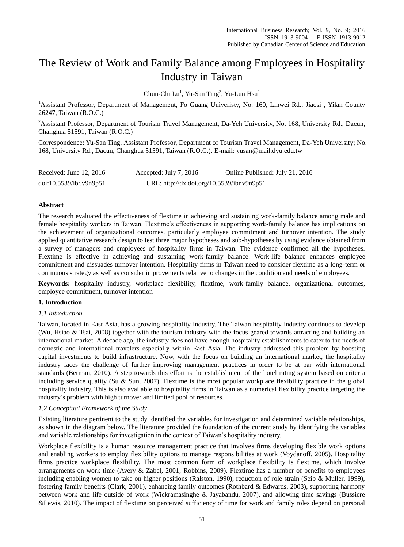# The Review of Work and Family Balance among Employees in Hospitality Industry in Taiwan

Chun-Chi Lu<sup>1</sup>, Yu-San Ting<sup>2</sup>, Yu-Lun Hsu<sup>1</sup>

<sup>1</sup>Assistant Professor, Department of Management, Fo Guang Univeristy, No. 160, Linwei Rd., Jiaosi , Yilan County 26247, Taiwan (R.O.C.)

<sup>2</sup>Assistant Professor, Department of Tourism Travel Management, Da-Yeh University, No. 168, University Rd., Dacun, Changhua 51591, Taiwan (R.O.C.)

Correspondence: Yu-San Ting, Assistant Professor, Department of Tourism Travel Management, Da-Yeh University; No. 168, University Rd., Dacun, Changhua 51591, Taiwan (R.O.C.). E-mail: yusan@mail.dyu.edu.tw

| Received: June $12, 2016$ | Accepted: July 7, $2016$                   | Online Published: July 21, 2016 |
|---------------------------|--------------------------------------------|---------------------------------|
| doi:10.5539/ibr.v9n9p51   | URL: http://dx.doi.org/10.5539/ibr.v9n9p51 |                                 |

# **Abstract**

The research evaluated the effectiveness of flextime in achieving and sustaining work-family balance among male and female hospitality workers in Taiwan. Flextime's effectiveness in supporting work-family balance has implications on the achievement of organizational outcomes, particularly employee commitment and turnover intention. The study applied quantitative research design to test three major hypotheses and sub-hypotheses by using evidence obtained from a survey of managers and employees of hospitality firms in Taiwan. The evidence confirmed all the hypotheses. Flextime is effective in achieving and sustaining work-family balance. Work-life balance enhances employee commitment and dissuades turnover intention. Hospitality firms in Taiwan need to consider flextime as a long-term or continuous strategy as well as consider improvements relative to changes in the condition and needs of employees.

**Keywords:** hospitality industry, workplace flexibility, flextime, work-family balance, organizational outcomes, employee commitment, turnover intention

# **1. Introduction**

# *1.1 Introduction*

Taiwan, located in East Asia, has a growing hospitality industry. The Taiwan hospitality industry continues to develop (Wu, Hsiao & Tsai, 2008) together with the tourism industry with the focus geared towards attracting and building an international market. A decade ago, the industry does not have enough hospitality establishments to cater to the needs of domestic and international travelers especially within East Asia. The industry addressed this problem by boosting capital investments to build infrastructure. Now, with the focus on building an international market, the hospitality industry faces the challenge of further improving management practices in order to be at par with international standards (Berman, 2010). A step towards this effort is the establishment of the hotel rating system based on criteria including service quality (Su & Sun, 2007). Flextime is the most popular workplace flexibility practice in the global hospitality industry. This is also available to hospitality firms in Taiwan as a numerical flexibility practice targeting the industry's problem with high turnover and limited pool of resources.

# *1.2 Conceptual Framework of the Study*

Existing literature pertinent to the study identified the variables for investigation and determined variable relationships, as shown in the diagram below. The literature provided the foundation of the current study by identifying the variables and variable relationships for investigation in the context of Taiwan's hospitality industry.

Workplace flexibility is a human resource management practice that involves firms developing flexible work options and enabling workers to employ flexibility options to manage responsibilities at work (Voydanoff, 2005). Hospitality firms practice workplace flexibility. The most common form of workplace flexibility is flextime, which involve arrangements on work time (Avery & Zabel, 2001; Robbins, 2009). Flextime has a number of benefits to employees including enabling women to take on higher positions (Ralston, 1990), reduction of role strain (Seib & Muller, 1999), fostering family benefits (Clark, 2001), enhancing family outcomes (Rothbard & Edwards, 2003), supporting harmony between work and life outside of work (Wickramasinghe & Jayabandu, 2007), and allowing time savings (Bussiere &Lewis, 2010). The impact of flextime on perceived sufficiency of time for work and family roles depend on personal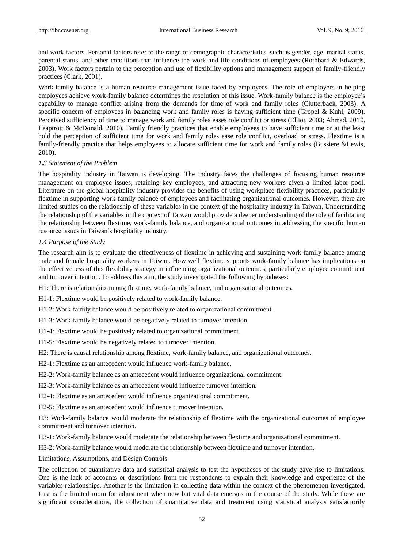and work factors. Personal factors refer to the range of demographic characteristics, such as gender, age, marital status, parental status, and other conditions that influence the work and life conditions of employees (Rothbard & Edwards, 2003). Work factors pertain to the perception and use of flexibility options and management support of family-friendly practices (Clark, 2001).

Work-family balance is a human resource management issue faced by employees. The role of employers in helping employees achieve work-family balance determines the resolution of this issue. Work-family balance is the employee's capability to manage conflict arising from the demands for time of work and family roles (Clutterback, 2003). A specific concern of employees in balancing work and family roles is having sufficient time (Gropel & Kuhl, 2009). Perceived sufficiency of time to manage work and family roles eases role conflict or stress (Elliot, 2003; Ahmad, 2010, Leaptrott & McDonald, 2010). Family friendly practices that enable employees to have sufficient time or at the least hold the perception of sufficient time for work and family roles ease role conflict, overload or stress. Flextime is a family-friendly practice that helps employees to allocate sufficient time for work and family roles (Bussiere &Lewis, 2010).

# *1.3 Statement of the Problem*

The hospitality industry in Taiwan is developing. The industry faces the challenges of focusing human resource management on employee issues, retaining key employees, and attracting new workers given a limited labor pool. Literature on the global hospitality industry provides the benefits of using workplace flexibility practices, particularly flextime in supporting work-family balance of employees and facilitating organizational outcomes. However, there are limited studies on the relationship of these variables in the context of the hospitality industry in Taiwan. Understanding the relationship of the variables in the context of Taiwan would provide a deeper understanding of the role of facilitating the relationship between flextime, work-family balance, and organizational outcomes in addressing the specific human resource issues in Taiwan's hospitality industry.

#### *1.4 Purpose of the Study*

The research aim is to evaluate the effectiveness of flextime in achieving and sustaining work-family balance among male and female hospitality workers in Taiwan. How well flextime supports work-family balance has implications on the effectiveness of this flexibility strategy in influencing organizational outcomes, particularly employee commitment and turnover intention. To address this aim, the study investigated the following hypotheses:

H1: There is relationship among flextime, work-family balance, and organizational outcomes.

H1-1: Flextime would be positively related to work-family balance.

H1-2: Work-family balance would be positively related to organizational commitment.

H1-3: Work-family balance would be negatively related to turnover intention.

H1-4: Flextime would be positively related to organizational commitment.

H1-5: Flextime would be negatively related to turnover intention.

H2: There is causal relationship among flextime, work-family balance, and organizational outcomes.

H2-1: Flextime as an antecedent would influence work-family balance.

H2-2: Work-family balance as an antecedent would influence organizational commitment.

H2-3: Work-family balance as an antecedent would influence turnover intention.

H2-4: Flextime as an antecedent would influence organizational commitment.

H2-5: Flextime as an antecedent would influence turnover intention.

H3: Work-family balance would moderate the relationship of flextime with the organizational outcomes of employee commitment and turnover intention.

H3-1: Work-family balance would moderate the relationship between flextime and organizational commitment.

H3-2: Work-family balance would moderate the relationship between flextime and turnover intention.

Limitations, Assumptions, and Design Controls

The collection of quantitative data and statistical analysis to test the hypotheses of the study gave rise to limitations. One is the lack of accounts or descriptions from the respondents to explain their knowledge and experience of the variables relationships. Another is the limitation in collecting data within the context of the phenomenon investigated. Last is the limited room for adjustment when new but vital data emerges in the course of the study. While these are significant considerations, the collection of quantitative data and treatment using statistical analysis satisfactorily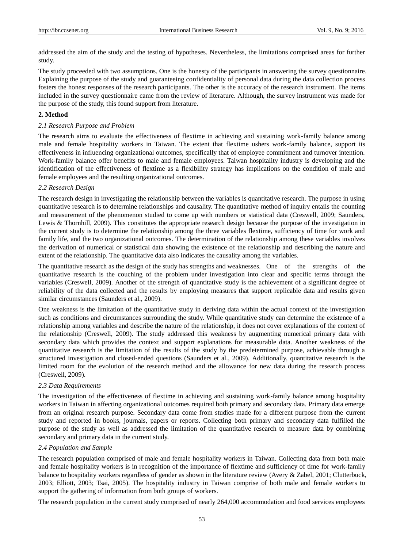addressed the aim of the study and the testing of hypotheses. Nevertheless, the limitations comprised areas for further study.

The study proceeded with two assumptions. One is the honesty of the participants in answering the survey questionnaire. Explaining the purpose of the study and guaranteeing confidentiality of personal data during the data collection process fosters the honest responses of the research participants. The other is the accuracy of the research instrument. The items included in the survey questionnaire came from the review of literature. Although, the survey instrument was made for the purpose of the study, this found support from literature.

## **2. Method**

## *2.1 Research Purpose and Problem*

The research aims to evaluate the effectiveness of flextime in achieving and sustaining work-family balance among male and female hospitality workers in Taiwan. The extent that flextime ushers work-family balance, support its effectiveness in influencing organizational outcomes, specifically that of employee commitment and turnover intention. Work-family balance offer benefits to male and female employees. Taiwan hospitality industry is developing and the identification of the effectiveness of flextime as a flexibility strategy has implications on the condition of male and female employees and the resulting organizational outcomes.

## *2.2 Research Design*

The research design in investigating the relationship between the variables is quantitative research. The purpose in using quantitative research is to determine relationships and causality. The quantitative method of inquiry entails the counting and measurement of the phenomenon studied to come up with numbers or statistical data (Creswell, 2009; Saunders, Lewis & Thornhill, 2009). This constitutes the appropriate research design because the purpose of the investigation in the current study is to determine the relationship among the three variables flextime, sufficiency of time for work and family life, and the two organizational outcomes. The determination of the relationship among these variables involves the derivation of numerical or statistical data showing the existence of the relationship and describing the nature and extent of the relationship. The quantitative data also indicates the causality among the variables.

The quantitative research as the design of the study has strengths and weaknesses. One of the strengths of the quantitative research is the couching of the problem under investigation into clear and specific terms through the variables (Creswell, 2009). Another of the strength of quantitative study is the achievement of a significant degree of reliability of the data collected and the results by employing measures that support replicable data and results given similar circumstances (Saunders et al., 2009).

One weakness is the limitation of the quantitative study in deriving data within the actual context of the investigation such as conditions and circumstances surrounding the study. While quantitative study can determine the existence of a relationship among variables and describe the nature of the relationship, it does not cover explanations of the context of the relationship (Creswell, 2009). The study addressed this weakness by augmenting numerical primary data with secondary data which provides the context and support explanations for measurable data. Another weakness of the quantitative research is the limitation of the results of the study by the predetermined purpose, achievable through a structured investigation and closed-ended questions (Saunders et al., 2009). Additionally, quantitative research is the limited room for the evolution of the research method and the allowance for new data during the research process (Creswell, 2009).

#### *2.3 Data Requirements*

The investigation of the effectiveness of flextime in achieving and sustaining work-family balance among hospitality workers in Taiwan in affecting organizational outcomes required both primary and secondary data. Primary data emerge from an original research purpose. Secondary data come from studies made for a different purpose from the current study and reported in books, journals, papers or reports. Collecting both primary and secondary data fulfilled the purpose of the study as well as addressed the limitation of the quantitative research to measure data by combining secondary and primary data in the current study.

#### *2.4 Population and Sample*

The research population comprised of male and female hospitality workers in Taiwan. Collecting data from both male and female hospitality workers is in recognition of the importance of flextime and sufficiency of time for work-family balance to hospitality workers regardless of gender as shown in the literature review (Avery & Zabel, 2001; Clutterbuck, 2003; Elliott, 2003; Tsai, 2005). The hospitality industry in Taiwan comprise of both male and female workers to support the gathering of information from both groups of workers.

The research population in the current study comprised of nearly 264,000 accommodation and food services employees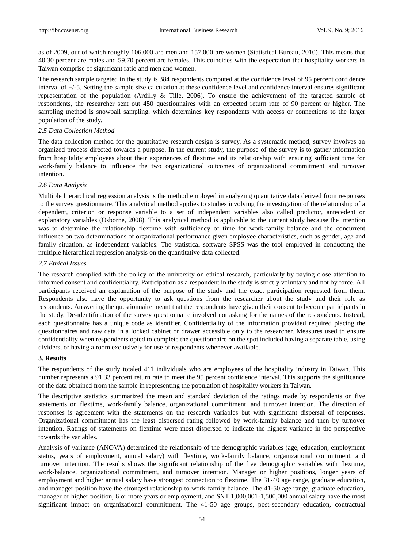as of 2009, out of which roughly 106,000 are men and 157,000 are women (Statistical Bureau, 2010). This means that 40.30 percent are males and 59.70 percent are females. This coincides with the expectation that hospitality workers in Taiwan comprise of significant ratio and men and women.

The research sample targeted in the study is 384 respondents computed at the confidence level of 95 percent confidence interval of +/-5. Setting the sample size calculation at these confidence level and confidence interval ensures significant representation of the population (Ardilly & Tille, 2006). To ensure the achievement of the targeted sample of respondents, the researcher sent out 450 questionnaires with an expected return rate of 90 percent or higher. The sampling method is snowball sampling, which determines key respondents with access or connections to the larger population of the study.

#### *2.5 Data Collection Method*

The data collection method for the quantitative research design is survey. As a systematic method, survey involves an organized process directed towards a purpose. In the current study, the purpose of the survey is to gather information from hospitality employees about their experiences of flextime and its relationship with ensuring sufficient time for work-family balance to influence the two organizational outcomes of organizational commitment and turnover intention.

# *2.6 Data Analysis*

Multiple hierarchical regression analysis is the method employed in analyzing quantitative data derived from responses to the survey questionnaire. This analytical method applies to studies involving the investigation of the relationship of a dependent, criterion or response variable to a set of independent variables also called predictor, antecedent or explanatory variables (Osborne, 2008). This analytical method is applicable to the current study because the intention was to determine the relationship flextime with sufficiency of time for work-family balance and the concurrent influence on two determinations of organizational performance given employee characteristics, such as gender, age and family situation, as independent variables. The statistical software SPSS was the tool employed in conducting the multiple hierarchical regression analysis on the quantitative data collected.

## *2.7 Ethical Issues*

The research complied with the policy of the university on ethical research, particularly by paying close attention to informed consent and confidentiality. Participation as a respondent in the study is strictly voluntary and not by force. All participants received an explanation of the purpose of the study and the exact participation requested from them. Respondents also have the opportunity to ask questions from the researcher about the study and their role as respondents. Answering the questionnaire meant that the respondents have given their consent to become participants in the study. De-identification of the survey questionnaire involved not asking for the names of the respondents. Instead, each questionnaire has a unique code as identifier. Confidentiality of the information provided required placing the questionnaires and raw data in a locked cabinet or drawer accessible only to the researcher. Measures used to ensure confidentiality when respondents opted to complete the questionnaire on the spot included having a separate table, using dividers, or having a room exclusively for use of respondents whenever available.

## **3. Results**

The respondents of the study totaled 411 individuals who are employees of the hospitality industry in Taiwan. This number represents a 91.33 percent return rate to meet the 95 percent confidence interval. This supports the significance of the data obtained from the sample in representing the population of hospitality workers in Taiwan.

The descriptive statistics summarized the mean and standard deviation of the ratings made by respondents on five statements on flextime, work-family balance, organizational commitment, and turnover intention. The direction of responses is agreement with the statements on the research variables but with significant dispersal of responses. Organizational commitment has the least dispersed rating followed by work-family balance and then by turnover intention. Ratings of statements on flextime were most dispersed to indicate the highest variance in the perspective towards the variables.

Analysis of variance (ANOVA) determined the relationship of the demographic variables (age, education, employment status, years of employment, annual salary) with flextime, work-family balance, organizational commitment, and turnover intention. The results shows the significant relationship of the five demographic variables with flextime, work-balance, organizational commitment, and turnover intention. Manager or higher positions, longer years of employment and higher annual salary have strongest connection to flextime. The 31-40 age range, graduate education, and manager position have the strongest relationship to work-family balance. The 41-50 age range, graduate education, manager or higher position, 6 or more years or employment, and \$NT 1,000,001-1,500,000 annual salary have the most significant impact on organizational commitment. The 41-50 age groups, post-secondary education, contractual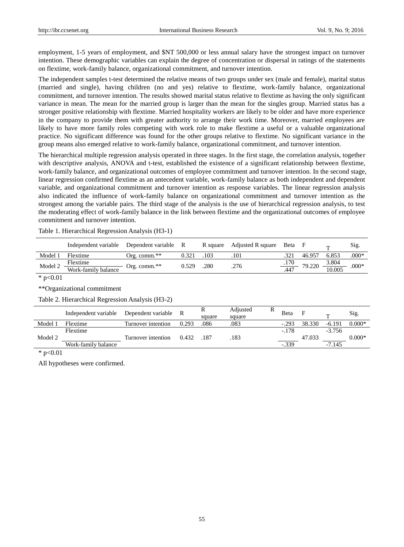employment, 1-5 years of employment, and \$NT 500,000 or less annual salary have the strongest impact on turnover intention. These demographic variables can explain the degree of concentration or dispersal in ratings of the statements on flextime, work-family balance, organizational commitment, and turnover intention.

The independent samples t-test determined the relative means of two groups under sex (male and female), marital status (married and single), having children (no and yes) relative to flextime, work-family balance, organizational commitment, and turnover intention. The results showed marital status relative to flextime as having the only significant variance in mean. The mean for the married group is larger than the mean for the singles group. Married status has a stronger positive relationship with flextime. Married hospitality workers are likely to be older and have more experience in the company to provide them with greater authority to arrange their work time. Moreover, married employees are likely to have more family roles competing with work role to make flextime a useful or a valuable organizational practice. No significant difference was found for the other groups relative to flextime. No significant variance in the group means also emerged relative to work-family balance, organizational commitment, and turnover intention.

The hierarchical multiple regression analysis operated in three stages. In the first stage, the correlation analysis, together with descriptive analysis, ANOVA and t-test, established the existence of a significant relationship between flextime, work-family balance, and organizational outcomes of employee commitment and turnover intention. In the second stage, linear regression confirmed flextime as an antecedent variable, work-family balance as both independent and dependent variable, and organizational commitment and turnover intention as response variables. The linear regression analysis also indicated the influence of work-family balance on organizational commitment and turnover intention as the strongest among the variable pairs. The third stage of the analysis is the use of hierarchical regression analysis, to test the moderating effect of work-family balance in the link between flextime and the organizational outcomes of employee commitment and turnover intention.

Table 1. Hierarchical Regression Analysis (H3-1)

|         | Independent variable            | Dependent variable R |       |      | R square Adjusted R square | Beta F |                            | $\blacksquare$  | Sig.    |
|---------|---------------------------------|----------------------|-------|------|----------------------------|--------|----------------------------|-----------------|---------|
| Model 1 | Flextime                        | Org. comm.**         | 0.321 | .103 | .101                       |        | 46.957                     | 6.853           | $.000*$ |
| Model 2 | Flextime<br>Work-family balance | Org. comm.**         | 0.529 | .280 | .276                       |        | $\frac{.170}{.447}$ 79.220 | 3.804<br>10.005 | $.000*$ |

 $*$  p<0.01

\*\*Organizational commitment

Table 2. Hierarchical Regression Analysis (H3-2)

|         | Independent variable | Dependent variable | R     | v<br>square | Adjusted<br>square | Beta    | F      | m        | Sig.     |
|---------|----------------------|--------------------|-------|-------------|--------------------|---------|--------|----------|----------|
| Model   | Flextime             | Turnover intention | 0.293 | .086        | .083               | $-.293$ | 38.330 | $-6.191$ | $0.000*$ |
|         | Flextime             |                    |       |             |                    | $-.178$ |        | $-3.756$ |          |
| Model 2 |                      | Turnover intention | 0.432 | . 187       | .183               |         | 47.033 |          | $0.000*$ |
|         | Work-family balance  |                    |       |             |                    | $-339$  |        | $-7.145$ |          |

 $*$  p<0.01

All hypotheses were confirmed.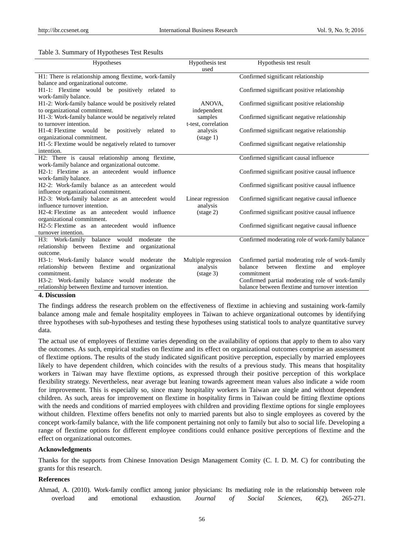#### Table 3. Summary of Hypotheses Test Results

| Hypotheses                                                   | Hypothesis test<br>used | Hypothesis test result                            |
|--------------------------------------------------------------|-------------------------|---------------------------------------------------|
| H1: There is relationship among flextime, work-family        |                         | Confirmed significant relationship                |
| balance and organizational outcome.                          |                         |                                                   |
| H1-1: Flextime would be positively related to                |                         | Confirmed significant positive relationship       |
| work-family balance.                                         |                         |                                                   |
| H1-2: Work-family balance would be positively related        | ANOVA.                  | Confirmed significant positive relationship       |
| to organizational commitment.                                | independent             |                                                   |
| H1-3: Work-family balance would be negatively related        | samples                 | Confirmed significant negative relationship       |
| to turnover intention.                                       | t-test, correlation     |                                                   |
| H1-4: Flextime would be positively related to                | analysis                | Confirmed significant negative relationship       |
| organizational commitment.                                   | $(\text{stage } 1)$     |                                                   |
| H1-5: Flextime would be negatively related to turnover       |                         | Confirmed significant negative relationship       |
| intention.                                                   |                         |                                                   |
| H2: There is causal relationship among flextime,             |                         | Confirmed significant causal influence            |
| work-family balance and organizational outcome.              |                         |                                                   |
| H <sub>2</sub> -1: Flextime as an antecedent would influence |                         | Confirmed significant positive causal influence   |
| work-family balance.                                         |                         |                                                   |
| H2-2: Work-family balance as an antecedent would             |                         | Confirmed significant positive causal influence   |
| influence organizational commitment.                         |                         |                                                   |
| H2-3: Work-family balance as an antecedent would             | Linear regression       | Confirmed significant negative causal influence   |
| influence turnover intention.                                | analysis                |                                                   |
| H <sub>2</sub> -4: Flextime as an antecedent would influence | $(\text{stage } 2)$     | Confirmed significant positive causal influence   |
| organizational commitment.                                   |                         |                                                   |
| H <sub>2</sub> -5: Flextime as an antecedent would influence |                         | Confirmed significant negative causal influence   |
| turnover intention.                                          |                         |                                                   |
| balance would<br>H3: Work-family<br>moderate<br>the          |                         | Confirmed moderating role of work-family balance  |
| relationship between flextime and organizational             |                         |                                                   |
| outcome.                                                     |                         |                                                   |
| H3-1: Work-family balance would moderate the                 | Multiple regression     | Confirmed partial moderating role of work-family  |
| relationship between flextime and organizational             | analysis                | balance<br>between<br>flextime<br>and<br>employee |
| commitment.                                                  | $(\text{stage } 3)$     | commitment                                        |
| H3-2: Work-family balance would moderate the                 |                         | Confirmed partial moderating role of work-family  |
| relationship between flextime and turnover intention.        |                         | balance between flextime and turnover intention   |

## **4. Discussion**

The findings address the research problem on the effectiveness of flextime in achieving and sustaining work-family balance among male and female hospitality employees in Taiwan to achieve organizational outcomes by identifying three hypotheses with sub-hypotheses and testing these hypotheses using statistical tools to analyze quantitative survey data.

The actual use of employees of flextime varies depending on the availability of options that apply to them to also vary the outcomes. As such, empirical studies on flextime and its effect on organizational outcomes comprise an assessment of flextime options. The results of the study indicated significant positive perception, especially by married employees likely to have dependent children, which coincides with the results of a previous study. This means that hospitality workers in Taiwan may have flextime options, as expressed through their positive perception of this workplace flexibility strategy. Nevertheless, near average but leaning towards agreement mean values also indicate a wide room for improvement. This is especially so, since many hospitality workers in Taiwan are single and without dependent children. As such, areas for improvement on flextime in hospitality firms in Taiwan could be fitting flextime options with the needs and conditions of married employees with children and providing flextime options for single employees without children. Flextime offers benefits not only to married parents but also to single employees as covered by the concept work-family balance, with the life component pertaining not only to family but also to social life. Developing a range of flextime options for different employee conditions could enhance positive perceptions of flextime and the effect on organizational outcomes.

#### **Acknowledgments**

Thanks for the supports from Chinese Innovation Design Management Comity (C. I. D. M. C) for contributing the grants for this research.

# **References**

Ahmad, A. (2010). Work-family conflict among junior physicians: Its mediating role in the relationship between role overload and emotional exhaustion. *Journal of Social Sciences, 6*(2), 265-271.